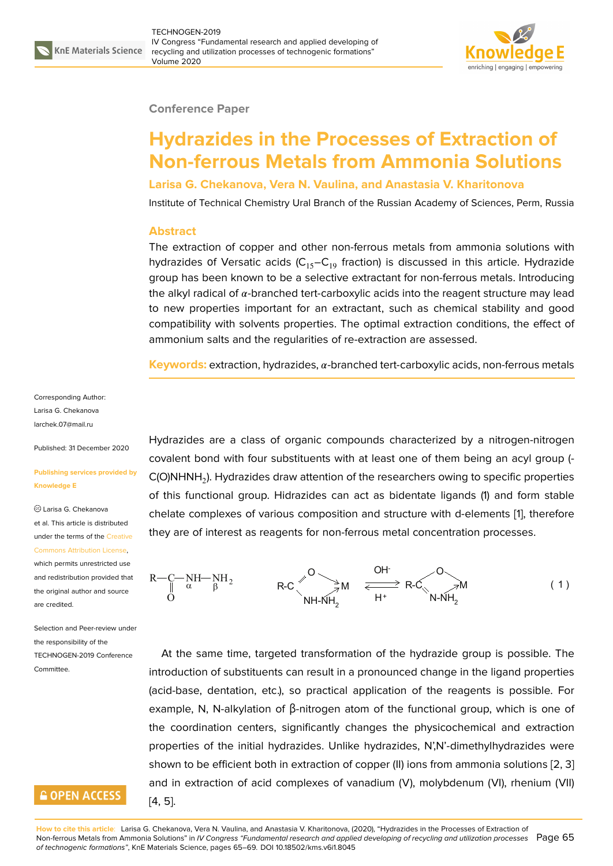### **Conference Paper**

# **Hydrazides in the Processes of Extraction of Non-ferrous Metals from Ammonia Solutions**

**Larisa G. Chekanova, Vera N. Vaulina, and Anastasia V. Kharitonova**

Institute of Technical Chemistry Ural Branch of the Russian Academy of Sciences, Perm, Russia

#### **Abstract**

The extraction of copper and other non-ferrous metals from ammonia solutions with hydrazides of Versatic acids  $(C_{15}-C_{19}$  fraction) is discussed in this article. Hydrazide group has been known to be a selective extractant for non-ferrous metals. Introducing the alkyl radical of  $\alpha$ -branched tert-carboxylic acids into the reagent structure may lead to new properties important for an extractant, such as chemical stability and good compatibility with solvents properties. The optimal extraction conditions, the effect of ammonium salts and the regularities of re-extraction are assessed.

**Keywords:** extraction, hydrazides, α-branched tert-carboxylic acids, non-ferrous metals

Corresponding Author: Larisa G. Chekanova larchek.07@mail.ru

Published: 31 December 2020

#### **[Publishing service](mailto:larchek.07@mail.ru)s provided by Knowledge E**

Larisa G. Chekanova et al. This article is distributed under the terms of the Creative Commons Attribution License,

which permits unrestricted use and redistribution provided that the original author and [source](https://creativecommons.org/licenses/by/4.0/) [are credited.](https://creativecommons.org/licenses/by/4.0/)

Selection and Peer-review under the responsibility of the TECHNOGEN-2019 Conference **Committee** 

## **GOPEN ACCESS**

Hydrazides are a class of organic compounds characterized by a nitrogen-nitrogen covalent bond with four substituents with at least one of them being an acyl group (- C(O)NHNH $_2$ ). Hydrazides draw attention of the researchers owing to specific properties of this functional group. Hidrazides can act as bidentate ligands (1) and form stable chelate complexes of various composition and structure with d-elements [1], therefore they are of interest as reagents for non-ferrous metal concentration processes.

 $R - C - NH - NH$  $\ddot{\rm{O}}$  $\alpha \qquad \beta$  R-C  $\beta$  M O NH-NH $_{\rm 2}$  $R$ -C $\sim$  M N-NH $_2^{}$ OH $\sim$ O ( ) 1 H<sup>+</sup>

At the same time, targeted transformation of the hydrazide group is possible. The introduction of substituents can result in a pronounced change in the ligand properties (acid-base, dentation, etc.), so practical application of the reagents is possible. For example, N, N-alkylation of β-nitrogen atom of the functional group, which is one of the coordination centers, significantly changes the physicochemical and extraction properties of the initial hydrazides. Unlike hydrazides, N',N'-dimethylhydrazides were shown to be efficient both in extraction of copper (II) ions from ammonia solutions [2, 3] and in extraction of acid complexes of vanadium (V), molybdenum (VI), rhenium (VII) [4, 5].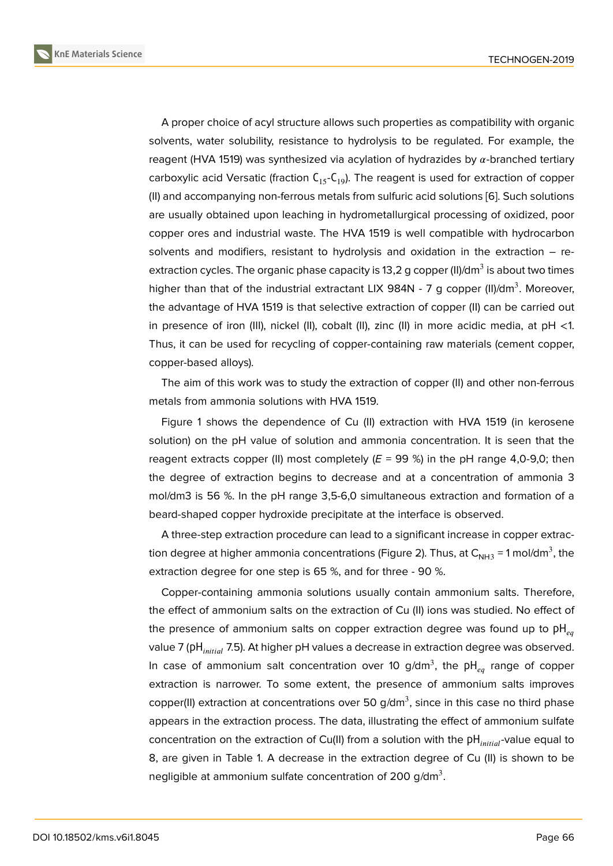A proper choice of acyl structure allows such properties as compatibility with organic solvents, water solubility, resistance to hydrolysis to be regulated. For example, the reagent (HVA 1519) was synthesized via acylation of hydrazides by  $\alpha$ -branched tertiary carboxylic acid Versatic (fraction  $C_{15}-C_{19}$ ). The reagent is used for extraction of copper (II) and accompanying non-ferrous metals from sulfuric acid solutions [6]. Such solutions are usually obtained upon leaching in hydrometallurgical processing of oxidized, poor copper ores and industrial waste. The HVA 1519 is well compatible with hydrocarbon solvents and modifiers, resistant to hydrolysis and oxidation in th[e](#page-4-2) extraction – reextraction cycles. The organic phase capacity is 13,2 g copper (II)/dm $^3$  is about two times higher than that of the industrial extractant LIX 984N - 7 g copper (II)/dm<sup>3</sup>. Moreover, the advantage of HVA 1519 is that selective extraction of copper (II) can be carried out in presence of iron (III), nickel (II), cobalt (II), zinc (II) in more acidic media, at pH <1. Thus, it can be used for recycling of copper-containing raw materials (cement copper, copper-based alloys).

The aim of this work was to study the extraction of copper (II) and other non-ferrous metals from ammonia solutions with HVA 1519.

Figure 1 shows the dependence of Cu (II) extraction with HVA 1519 (in kerosene solution) on the pH value of solution and ammonia concentration. It is seen that the reagent extracts copper (II) most completely  $(E = 99\%)$  in the pH range 4,0-9,0; then the degr[ee](#page-2-0) of extraction begins to decrease and at a concentration of ammonia 3 mol/dm3 is 56 %. In the pH range 3,5-6,0 simultaneous extraction and formation of a beard-shaped copper hydroxide precipitate at the interface is observed.

A three-step extraction procedure can lead to a significant increase in copper extraction degree at higher ammonia concentrations (Figure 2). Thus, at  $\mathsf{C}_{\mathsf{NH3}}$  = 1 mol/dm $^3$ , the extraction degree for one step is 65 %, and for three - 90 %.

Copper-containing ammonia solutions usually contain ammonium salts. Therefore, the effect of ammonium salts on the extraction of Cu [\(II\)](#page-2-1) ions was studied. No effect of the presence of ammonium salts on copper extraction degree was found up to  $pH_{eq}$ value 7 (pH<sub>initial</sub> 7.5). At higher pH values a decrease in extraction degree was observed. In case of ammonium salt concentration over 10 g/dm<sup>3</sup>, the pH<sub>eq</sub> range of copper extraction is narrower. To some extent, the presence of ammonium salts improves copper(II) extraction at concentrations over 50 g/dm<sup>3</sup>, since in this case no third phase appears in the extraction process. The data, illustrating the effect of ammonium sulfate concentration on the extraction of Cu(II) from a solution with the  $pH_{initial}$ -value equal to 8, are given in Table 1. A decrease in the extraction degree of Cu (II) is shown to be negligible at ammonium sulfate concentration of 200 g/dm $^3.$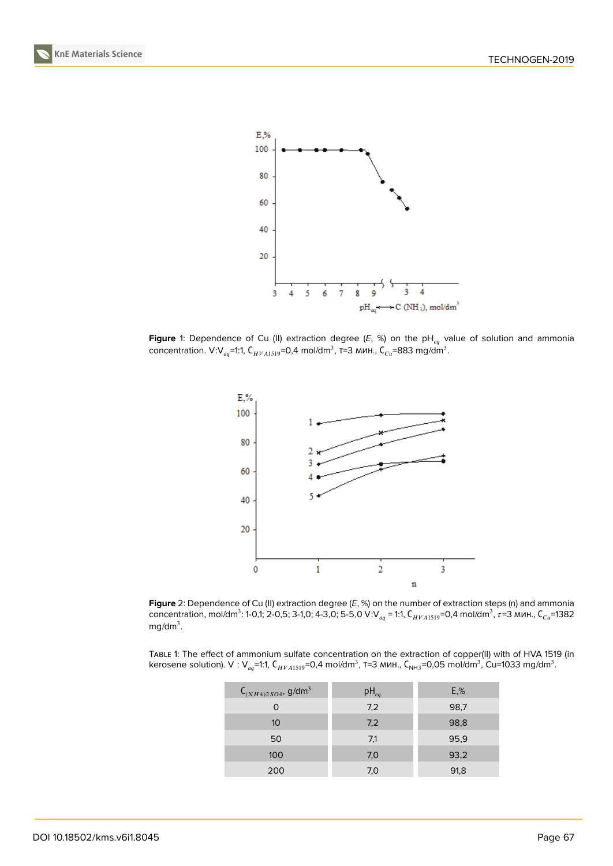



<span id="page-2-0"></span>**Figure** 1: Dependence of Cu (II) extraction degree  $(E, %)$  on the pH<sub>eq</sub> value of solution and ammonia concentration. V:V $_{aq}$ =1:1, С $_{HVA1519}$ =0,4 mol/dm $^3$ , т=3 мин., С $_{Cu}$ =883 mg/dm $^3$ .



<span id="page-2-1"></span>**Figure** 2: Dependence of Cu (II) extraction degree (*E*, %) on the number of extraction steps (n) and ammonia concentration, mol/dm $^3$ : 1-0,1; 2-0,5; 3-1,0; 4-3,0; 5-5,0 V:V $_{aq}$  = 1:1, С $_{HVA1519}$ =0,4 mol/dm $^3$ ,  $\tau$ =3 мин., С $_{Cu}$ =1382 mg/dm $^3$ .

TABLE 1: The effect of ammonium sulfate concentration on the extraction of copper(II) with of HVA 1519 (in kerosene solution). V : V $_{aq}$ =1:1, С $_{HVA1519}$ =0,4 mol/dm $^3$ , т=3 мин., С<sub>NH3</sub>=0,05 mol/dm $^3$ , Cu=1033 mg/dm $^3$ .

| $C_{(NH4)2SO4}$ , g/dm <sup>3</sup> | $pH_{eq}$ | E, % |
|-------------------------------------|-----------|------|
|                                     | 7,2       | 98,7 |
| 10 <sup>°</sup>                     | 7,2       | 98,8 |
| 50                                  | 7,1       | 95,9 |
| 100                                 | 7,0       | 93,2 |
| 200                                 | 7,0       | 91,8 |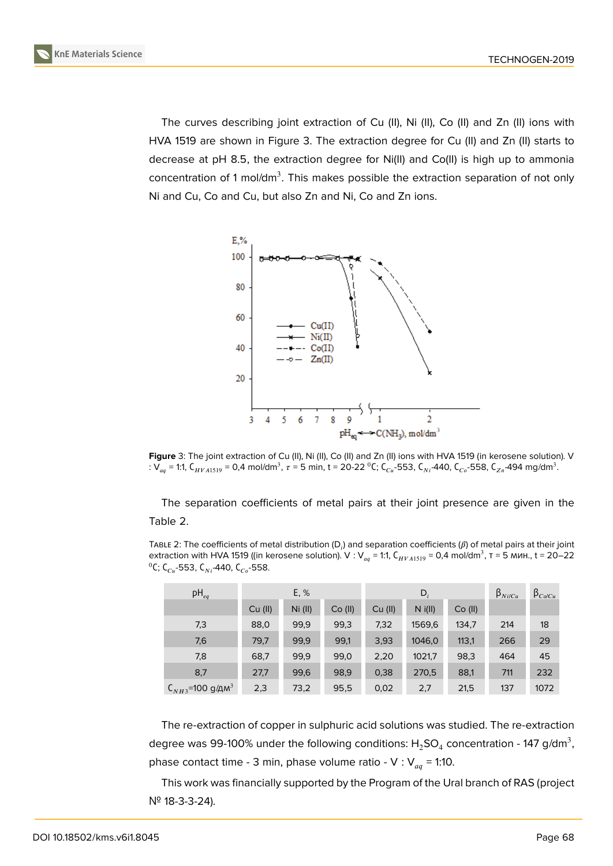The curves describing joint extraction of Cu (II), Ni (II), Co (II) and Zn (II) ions with HVA 1519 are shown in Figure 3. The extraction degree for Cu (II) and Zn (II) starts to decrease at pH 8.5, the extraction degree for Ni(II) and Co(II) is high up to ammonia concentration of 1 mol/dm<sup>3</sup>. This makes possible the extraction separation of not only Ni and Cu, Co and Cu, but also [Z](#page-3-0)n and Ni, Co and Zn ions.



**Figure** 3: The joint extraction of Cu (II), Ni (II), Co (II) and Zn (II) ions with HVA 1519 (in kerosene solution). V : V<sub>aq</sub> = 1:1, C<sub>HVA1519</sub> = 0,4 mol/dm<sup>3</sup>,  $\tau$  = 5 min, t = 20-22 <sup>0</sup>C; C<sub>Cu</sub>-553, C<sub>Ni</sub>-440, C<sub>Co</sub>-558, C<sub>Zn</sub>-494 mg/dm<sup>3</sup>.

<span id="page-3-0"></span>The separation coefficients of metal pairs at their joint presence are given in the Table 2.

TABLE 2: The coefficients of metal distribution (D $_i$ ) and separation coefficients ( $\beta$ ) of metal pairs at their joint extraction with HVA 1519 ((in kerosene solution). V : V $_{aq}$  = 1:1, C $_{HVA1519}$  = 0,4 mol/dm $^3$ , т = 5 мин., t = 20–22 <sup>0</sup>С; С<sub>си</sub>-553, С<sub>Ni</sub>-440, С<sub>со</sub>-558.

| $pH_{eq}$                        | E, %    |         | $D_i$   |         |           | $\beta_{Ni/Cu}$ | $\beta_{Co/Cu}$ |      |
|----------------------------------|---------|---------|---------|---------|-----------|-----------------|-----------------|------|
|                                  | Cu (II) | Ni (II) | Co (II) | Cu (II) | $N$ i(II) | Co (II)         |                 |      |
| 7,3                              | 88,0    | 99,9    | 99,3    | 7,32    | 1569,6    | 134,7           | 214             | 18   |
| 7,6                              | 79,7    | 99,9    | 99,1    | 3,93    | 1046,0    | 113,1           | 266             | 29   |
| 7,8                              | 68,7    | 99,9    | 99,0    | 2,20    | 1021,7    | 98,3            | 464             | 45   |
| 8,7                              | 27,7    | 99,6    | 98,9    | 0,38    | 270,5     | 88,1            | 711             | 232  |
| $C_{NH3}$ =100 д/дм <sup>3</sup> | 2,3     | 73,2    | 95,5    | 0,02    | 2,7       | 21,5            | 137             | 1072 |

The re-extraction of copper in sulphuric acid solutions was studied. The re-extraction degree was 99-100% under the following conditions:  ${\sf H_2SO_4}$  concentration - 147 g/dm $^3,$ phase contact time - 3 min, phase volume ratio - V :  $V_{aq}$  = 1:10.

This work was financially supported by the Program of the Ural branch of RAS (project № 18-3-3-24).